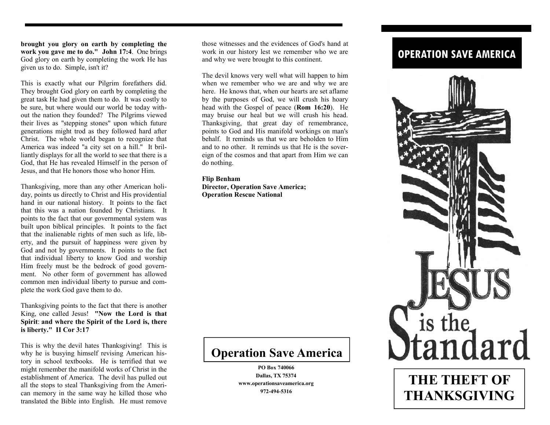**brought you glory on earth by completing the work you gave me to do." John 17:4**. One brings God glory on earth by completing the work He has given us to do. Simple, isn't it?

This is exactly what our Pilgrim forefathers did. They brought God glory on earth by completing the great task He had given them to do. It was costly to be sure, but where would our world be today without the nation they founded? The Pilgrims viewed their lives as "stepping stones" upon which future generations might trod as they followed hard after Christ. The whole world began to recognize that America was indeed "a city set on a hill." It brilliantly displays for all the world to see that there is a God, that He has revealed Himself in the person of Jesus, and that He honors those who honor Him.

Thanksgiving, more than any other American holiday, points us directly to Christ and His providential hand in our national history. It points to the fact that this was a nation founded by Christians. It points to the fact that our governmental system was built upon biblical principles. It points to the fact that the inalienable rights of men such as life, liberty, and the pursuit of happiness were given by God and not by governments. It points to the fact that individual liberty to know God and worship Him freely must be the bedrock of good government. No other form of government has allowed common men individual liberty to pursue and complete the work God gave them to do.

Thanksgiving points to the fact that there is another King, one called Jesus! **"Now the Lord is that Spirit**: **and where the Spirit of the Lord is, there is liberty." II Cor 3:17** 

This is why the devil hates Thanksgiving! This is why he is busying himself revising American history in school textbooks. He is terrified that we might remember the manifold works of Christ in the establishment of America. The devil has pulled out all the stops to steal Thanksgiving from the American memory in the same way he killed those who translated the Bible into English. He must remove

those witnesses and the evidences of God's hand at work in our history lest we remember who we are and why we were brought to this continent.

The devil knows very well what will happen to him when we remember who we are and why we are here. He knows that, when our hearts are set aflame by the purposes of God, we will crush his hoary head with the Gospel of peace (**Rom 16:20**). He may bruise our heal but we will crush his head. Thanksgiving, that great day of remembrance, points to God and His manifold workings on man's behalf. It reminds us that we are beholden to Him and to no other. It reminds us that He is the sovereign of the cosmos and that apart from Him we can do nothing.

**Flip Benham Director, Operation Save America; Operation Rescue National** 

## **Operation Save America**

**PO Box 740066 Dallas, TX 75374 www.operationsaveamerica.org 972-494-5316** 

## **OPERATION SAVE AMERICA**



**THE THEFT OF THANKSGIVING**